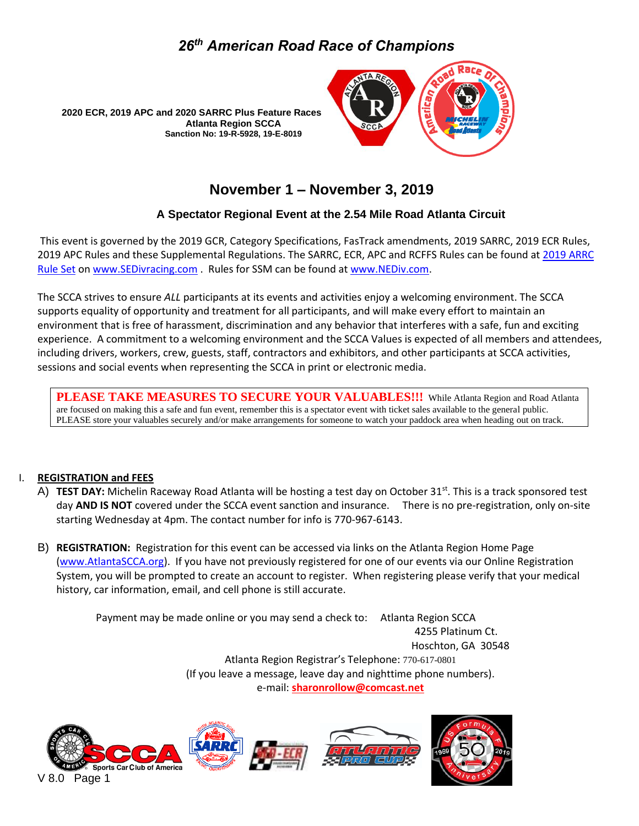



### **November 1 – November 3, 2019**

#### **A Spectator Regional Event at the 2.54 Mile Road Atlanta Circuit**

This event is governed by the 2019 GCR, Category Specifications, FasTrack amendments, 2019 SARRC, 2019 ECR Rules, 2019 APC Rules and these Supplemental Regulations. The SARRC, ECR, APC and RCFFS Rules can be found at [2019](http://www.sedivracing.com/) [ARRC](https://drive.google.com/drive/folders/1fxZyDYEclfScMH5eLh4gh0s7-WmB6uFq) Rule Set on [www.SEDivracing.com](http://www.sedivracing.com/) . Rules for SSM can be found at [www.NEDiv.com.](http://www.nediv.com/)

The SCCA strives to ensure *ALL* participants at its events and activities enjoy a welcoming environment. The SCCA supports equality of opportunity and treatment for all participants, and will make every effort to maintain an environment that is free of harassment, discrimination and any behavior that interferes with a safe, fun and exciting experience. A commitment to a welcoming environment and the SCCA Values is expected of all members and attendees, including drivers, workers, crew, guests, staff, contractors and exhibitors, and other participants at SCCA activities, sessions and social events when representing the SCCA in print or electronic media.

**PLEASE TAKE MEASURES TO SECURE YOUR VALUABLES!!!** While Atlanta Region and Road Atlanta are focused on making this a safe and fun event, remember this is a spectator event with ticket sales available to the general public. PLEASE store your valuables securely and/or make arrangements for someone to watch your paddock area when heading out on track.

#### I. **REGISTRATION and FEES**

- A) TEST DAY: Michelin Raceway Road Atlanta will be hosting a test day on October 31<sup>st</sup>. This is a track sponsored test day **AND IS NOT** covered under the SCCA event sanction and insurance. There is no pre-registration, only on-site starting Wednesday at 4pm. The contact number for info is 770-967-6143.
- B) **REGISTRATION:** Registration for this event can be accessed via links on the Atlanta Region Home Page [\(www.AtlantaSCCA.org\)](http://www.atlantascca.org/). If you have not previously registered for one of our events via our Online Registration System, you will be prompted to create an account to register. When registering please verify that your medical history, car information, email, and cell phone is still accurate.

Payment may be made online or you may send a check to: Atlanta Region SCCA 4255 Platinum Ct. Hoschton, GA 30548 Atlanta Region Registrar's Telephone: [770-617-0801](tel:770-831-0277) (If you leave a message, leave day and nighttime phone numbers). e-mail: **[sharonrollow@comcast.net](mailto:sharonrollow@comcast.net)**

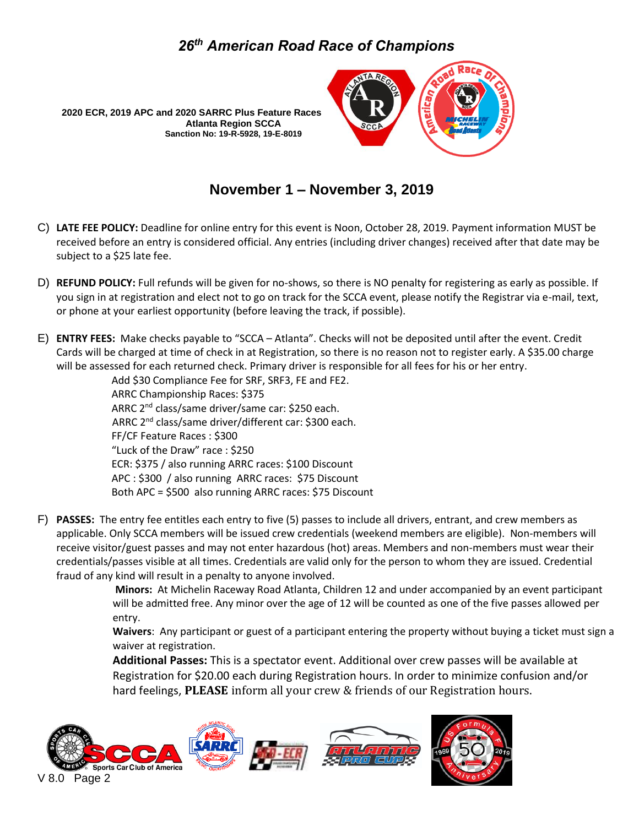

## **November 1 – November 3, 2019**

- C) **LATE FEE POLICY:** Deadline for online entry for this event is Noon, October 28, 2019. Payment information MUST be received before an entry is considered official. Any entries (including driver changes) received after that date may be subject to a \$25 late fee.
- D) **REFUND POLICY:** Full refunds will be given for no-shows, so there is NO penalty for registering as early as possible. If you sign in at registration and elect not to go on track for the SCCA event, please notify the Registrar via e-mail, text, or phone at your earliest opportunity (before leaving the track, if possible).
- E) **ENTRY FEES:** Make checks payable to "SCCA Atlanta". Checks will not be deposited until after the event. Credit Cards will be charged at time of check in at Registration, so there is no reason not to register early. A \$35.00 charge will be assessed for each returned check. Primary driver is responsible for all fees for his or her entry.

Add \$30 Compliance Fee for SRF, SRF3, FE and FE2. ARRC Championship Races: \$375 ARRC 2nd class/same driver/same car: \$250 each. ARRC 2nd class/same driver/different car: \$300 each. FF/CF Feature Races : \$300 "Luck of the Draw" race : \$250 ECR: \$375 / also running ARRC races: \$100 Discount APC : \$300 / also running ARRC races: \$75 Discount Both APC = \$500 also running ARRC races: \$75 Discount

F) **PASSES:** The entry fee entitles each entry to five (5) passes to include all drivers, entrant, and crew members as applicable. Only SCCA members will be issued crew credentials (weekend members are eligible). Non-members will receive visitor/guest passes and may not enter hazardous (hot) areas. Members and non-members must wear their credentials/passes visible at all times. Credentials are valid only for the person to whom they are issued. Credential fraud of any kind will result in a penalty to anyone involved.

> **Minors:** At Michelin Raceway Road Atlanta, Children 12 and under accompanied by an event participant will be admitted free. Any minor over the age of 12 will be counted as one of the five passes allowed per entry.

**Waivers**: Any participant or guest of a participant entering the property without buying a ticket must sign a waiver at registration.

**Additional Passes:** This is a spectator event. Additional over crew passes will be available at Registration for \$20.00 each during Registration hours. In order to minimize confusion and/or hard feelings, **PLEASE** inform all your crew & friends of our Registration hours.

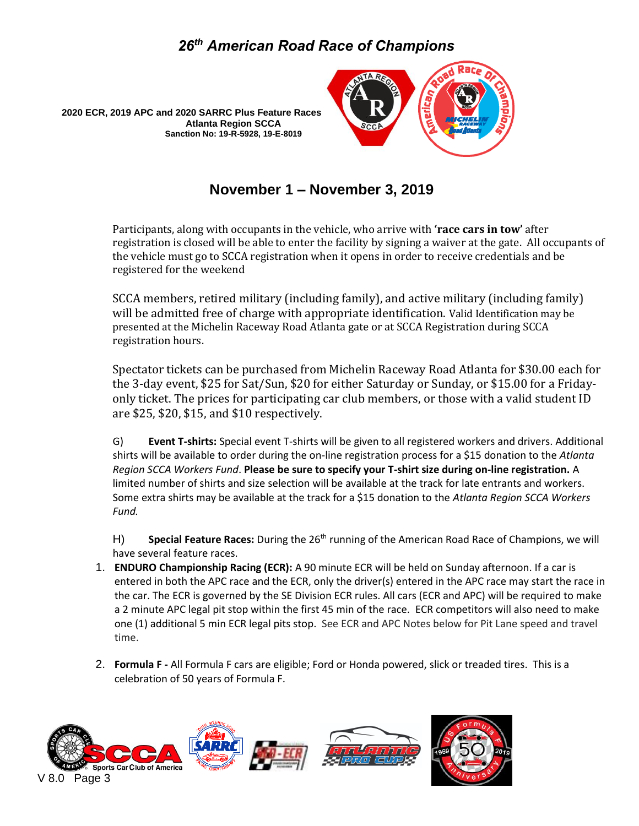



**November 1 – November 3, 2019**

Participants, along with occupants in the vehicle, who arrive with **'race cars in tow'** after registration is closed will be able to enter the facility by signing a waiver at the gate. All occupants of the vehicle must go to SCCA registration when it opens in order to receive credentials and be registered for the weekend

SCCA members, retired military (including family), and active military (including family) will be admitted free of charge with appropriate identification. Valid Identification may be presented at the Michelin Raceway Road Atlanta gate or at SCCA Registration during SCCA registration hours.

Spectator tickets can be purchased from Michelin Raceway Road Atlanta for \$30.00 each for the 3-day event, \$25 for Sat/Sun, \$20 for either Saturday or Sunday, or \$15.00 for a Fridayonly ticket. The prices for participating car club members, or those with a valid student ID are \$25, \$20, \$15, and \$10 respectively.

G) **Event T-shirts:** Special event T-shirts will be given to all registered workers and drivers. Additional shirts will be available to order during the on-line registration process for a \$15 donation to the *Atlanta Region SCCA Workers Fund*. **Please be sure to specify your T-shirt size during on-line registration.** A limited number of shirts and size selection will be available at the track for late entrants and workers. Some extra shirts may be available at the track for a \$15 donation to the *Atlanta Region SCCA Workers Fund.*

H) **Special Feature Races:** During the 26<sup>th</sup> running of the American Road Race of Champions, we will have several feature races.

- 1. **ENDURO Championship Racing (ECR):** A 90 minute ECR will be held on Sunday afternoon. If a car is entered in both the APC race and the ECR, only the driver(s) entered in the APC race may start the race in the car. The ECR is governed by the SE Division ECR rules. All cars (ECR and APC) will be required to make a 2 minute APC legal pit stop within the first 45 min of the race. ECR competitors will also need to make one (1) additional 5 min ECR legal pits stop. See ECR and APC Notes below for Pit Lane speed and travel time.
- 2. **Formula F -** All Formula F cars are eligible; Ford or Honda powered, slick or treaded tires. This is a celebration of 50 years of Formula F.

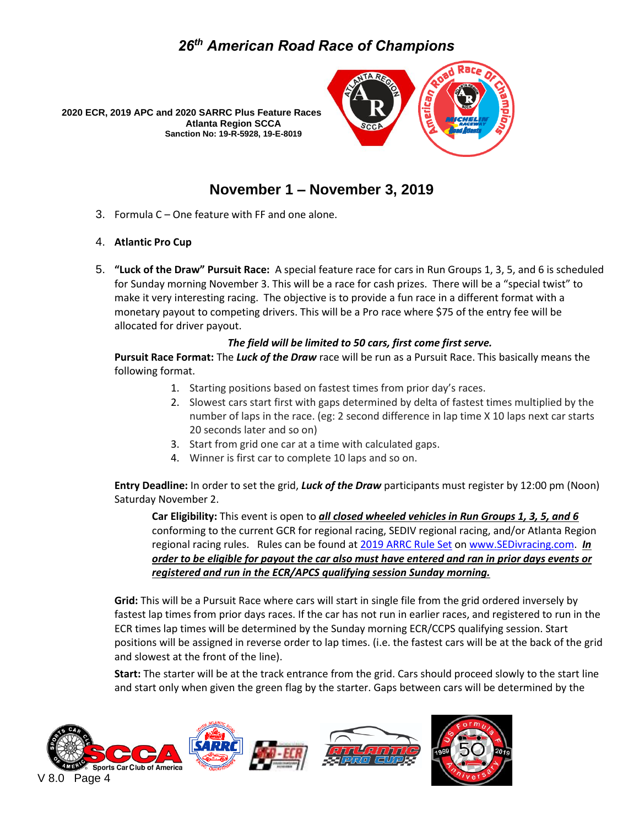



#### **November 1 – November 3, 2019**

3. Formula C – One feature with FF and one alone.

#### 4. **Atlantic Pro Cup**

5. **"Luck of the Draw" Pursuit Race:** A special feature race for cars in Run Groups 1, 3, 5, and 6 is scheduled for Sunday morning November 3. This will be a race for cash prizes. There will be a "special twist" to make it very interesting racing. The objective is to provide a fun race in a different format with a monetary payout to competing drivers. This will be a Pro race where \$75 of the entry fee will be allocated for driver payout.

#### *The field will be limited to 50 cars, first come first serve.*

**Pursuit Race Format:** The *Luck of the Draw* race will be run as a Pursuit Race. This basically means the following format.

- 1. Starting positions based on fastest times from prior day's races.
- 2. Slowest cars start first with gaps determined by delta of fastest times multiplied by the number of laps in the race. (eg: 2 second difference in lap time X 10 laps next car starts 20 seconds later and so on)
- 3. Start from grid one car at a time with calculated gaps.
- 4. Winner is first car to complete 10 laps and so on.

**Entry Deadline:** In order to set the grid, *Luck of the Draw* participants must register by 12:00 pm (Noon) Saturday November 2.

**Car Eligibility:** This event is open to *all closed wheeled vehicles in Run Groups 1, 3, 5, and 6* conforming to the current GCR for regional racing, SEDIV regional racing, and/or Atlanta Region regional racing rules. Rules can be found at [2019](http://www.sedivracing.com/) [ARRC](https://drive.google.com/drive/folders/1fxZyDYEclfScMH5eLh4gh0s7-WmB6uFq) Rule Set on [www.SEDivracing.com.](http://www.sedivracing.com/) *In order to be eligible for payout the car also must have entered and ran in prior days events or registered and run in the ECR/APCS qualifying session Sunday morning.*

**Grid:** This will be a Pursuit Race where cars will start in single file from the grid ordered inversely by fastest lap times from prior days races. If the car has not run in earlier races, and registered to run in the ECR times lap times will be determined by the Sunday morning ECR/CCPS qualifying session. Start positions will be assigned in reverse order to lap times. (i.e. the fastest cars will be at the back of the grid and slowest at the front of the line).

**Start:** The starter will be at the track entrance from the grid. Cars should proceed slowly to the start line and start only when given the green flag by the starter. Gaps between cars will be determined by the

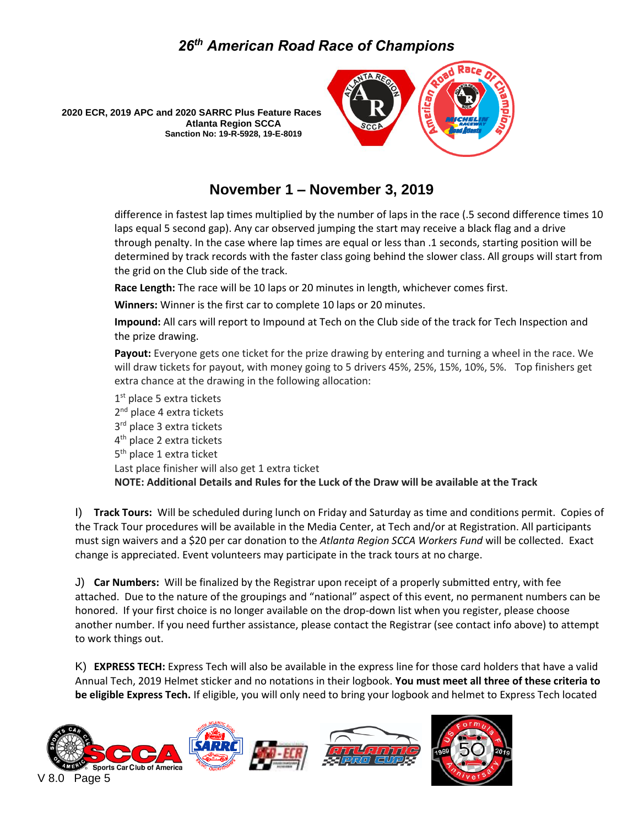



#### **November 1 – November 3, 2019**

difference in fastest lap times multiplied by the number of laps in the race (.5 second difference times 10 laps equal 5 second gap). Any car observed jumping the start may receive a black flag and a drive through penalty. In the case where lap times are equal or less than .1 seconds, starting position will be determined by track records with the faster class going behind the slower class. All groups will start from the grid on the Club side of the track.

**Race Length:** The race will be 10 laps or 20 minutes in length, whichever comes first.

**Winners:** Winner is the first car to complete 10 laps or 20 minutes.

**Impound:** All cars will report to Impound at Tech on the Club side of the track for Tech Inspection and the prize drawing.

**Payout:** Everyone gets one ticket for the prize drawing by entering and turning a wheel in the race. We will draw tickets for payout, with money going to 5 drivers 45%, 25%, 15%, 10%, 5%. Top finishers get extra chance at the drawing in the following allocation:

1<sup>st</sup> place 5 extra tickets 2<sup>nd</sup> place 4 extra tickets 3<sup>rd</sup> place 3 extra tickets 4<sup>th</sup> place 2 extra tickets 5<sup>th</sup> place 1 extra ticket Last place finisher will also get 1 extra ticket **NOTE: Additional Details and Rules for the Luck of the Draw will be available at the Track**

I) **Track Tours:** Will be scheduled during lunch on Friday and Saturday as time and conditions permit. Copies of the Track Tour procedures will be available in the Media Center, at Tech and/or at Registration. All participants must sign waivers and a \$20 per car donation to the *Atlanta Region SCCA Workers Fund* will be collected. Exact change is appreciated. Event volunteers may participate in the track tours at no charge.

J) **Car Numbers:** Will be finalized by the Registrar upon receipt of a properly submitted entry, with fee attached. Due to the nature of the groupings and "national" aspect of this event, no permanent numbers can be honored.If your first choice is no longer available on the drop-down list when you register, please choose another number. If you need further assistance, please contact the Registrar (see contact info above) to attempt to work things out.

K) **EXPRESS TECH:** Express Tech will also be available in the express line for those card holders that have a valid Annual Tech, 2019 Helmet sticker and no notations in their logbook. **You must meet all three of these criteria to be eligible Express Tech.** If eligible, you will only need to bring your logbook and helmet to Express Tech located

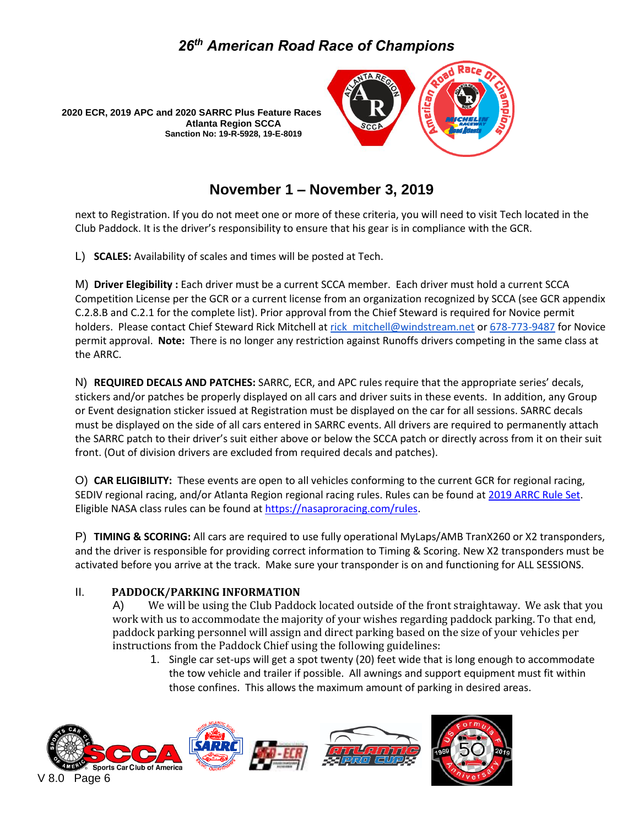



### **November 1 – November 3, 2019**

next to Registration. If you do not meet one or more of these criteria, you will need to visit Tech located in the Club Paddock. It is the driver's responsibility to ensure that his gear is in compliance with the GCR.

L) **SCALES:** Availability of scales and times will be posted at Tech.

M) **Driver Elegibility :** Each driver must be a current SCCA member. Each driver must hold a current SCCA Competition License per the GCR or a current license from an organization recognized by SCCA (see GCR appendix C.2.8.B and C.2.1 for the complete list). Prior approval from the Chief Steward is required for Novice permit holders. Please contact Chief Steward Rick Mitchell at rick mitchell@windstream.net or 678-773-9487 for Novice permit approval. **Note:** There is no longer any restriction against Runoffs drivers competing in the same class at the ARRC.

N) **REQUIRED DECALS AND PATCHES:** SARRC, ECR, and APC rules require that the appropriate series' decals, stickers and/or patches be properly displayed on all cars and driver suits in these events. In addition, any Group or Event designation sticker issued at Registration must be displayed on the car for all sessions. SARRC decals must be displayed on the side of all cars entered in SARRC events. All drivers are required to permanently attach the SARRC patch to their driver's suit either above or below the SCCA patch or directly across from it on their suit front. (Out of division drivers are excluded from required decals and patches).

O) **CAR ELIGIBILITY:** These events are open to all vehicles conforming to the current GCR for regional racing, SEDIV regional racing, and/or Atlanta Region regional racing rules. Rules can be found at [2019](http://www.sedivracing.com/) [ARRC](https://drive.google.com/drive/folders/1fxZyDYEclfScMH5eLh4gh0s7-WmB6uFq) Rule Set. Eligible NASA class rules can be found at [https://nasaproracing.com/rules.](https://nasaproracing.com/rules) 

P) **TIMING & SCORING:** All cars are required to use fully operational MyLaps/AMB TranX260 or X2 transponders, and the driver is responsible for providing correct information to Timing & Scoring. New X2 transponders must be activated before you arrive at the track. Make sure your transponder is on and functioning for ALL SESSIONS.

#### II. **PADDOCK/PARKING INFORMATION**

A) We will be using the Club Paddock located outside of the front straightaway. We ask that you work with us to accommodate the majority of your wishes regarding paddock parking. To that end, paddock parking personnel will assign and direct parking based on the size of your vehicles per instructions from the Paddock Chief using the following guidelines:

1. Single car set-ups will get a spot twenty (20) feet wide that is long enough to accommodate the tow vehicle and trailer if possible. All awnings and support equipment must fit within those confines. This allows the maximum amount of parking in desired areas.

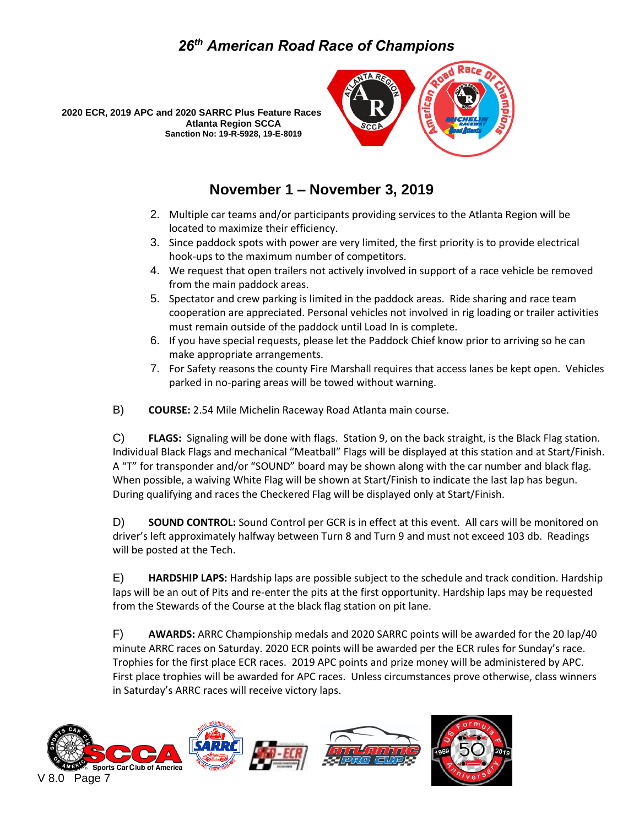



#### **November 1 – November 3, 2019**

- 2. Multiple car teams and/or participants providing services to the Atlanta Region will be located to maximize their efficiency.
- 3. Since paddock spots with power are very limited, the first priority is to provide electrical hook-ups to the maximum number of competitors.
- 4. We request that open trailers not actively involved in support of a race vehicle be removed from the main paddock areas.
- 5. Spectator and crew parking is limited in the paddock areas. Ride sharing and race team cooperation are appreciated. Personal vehicles not involved in rig loading or trailer activities must remain outside of the paddock until Load In is complete.
- 6. If you have special requests, please let the Paddock Chief know prior to arriving so he can make appropriate arrangements.
- 7. For Safety reasons the county Fire Marshall requires that access lanes be kept open. Vehicles parked in no-paring areas will be towed without warning.
- B) **COURSE:** 2.54 Mile Michelin Raceway Road Atlanta main course.

C) **FLAGS:** Signaling will be done with flags. Station 9, on the back straight, is the Black Flag station. Individual Black Flags and mechanical "Meatball" Flags will be displayed at this station and at Start/Finish. A "T" for transponder and/or "SOUND" board may be shown along with the car number and black flag. When possible, a waiving White Flag will be shown at Start/Finish to indicate the last lap has begun. During qualifying and races the Checkered Flag will be displayed only at Start/Finish.

D) **SOUND CONTROL:** Sound Control per GCR is in effect at this event. All cars will be monitored on driver's left approximately halfway between Turn 8 and Turn 9 and must not exceed 103 db. Readings will be posted at the Tech.

E) **HARDSHIP LAPS:** Hardship laps are possible subject to the schedule and track condition. Hardship laps will be an out of Pits and re-enter the pits at the first opportunity. Hardship laps may be requested from the Stewards of the Course at the black flag station on pit lane.

F) **AWARDS:** ARRC Championship medals and 2020 SARRC points will be awarded for the 20 lap/40 minute ARRC races on Saturday. 2020 ECR points will be awarded per the ECR rules for Sunday's race. Trophies for the first place ECR races. 2019 APC points and prize money will be administered by APC. First place trophies will be awarded for APC races. Unless circumstances prove otherwise, class winners in Saturday's ARRC races will receive victory laps.

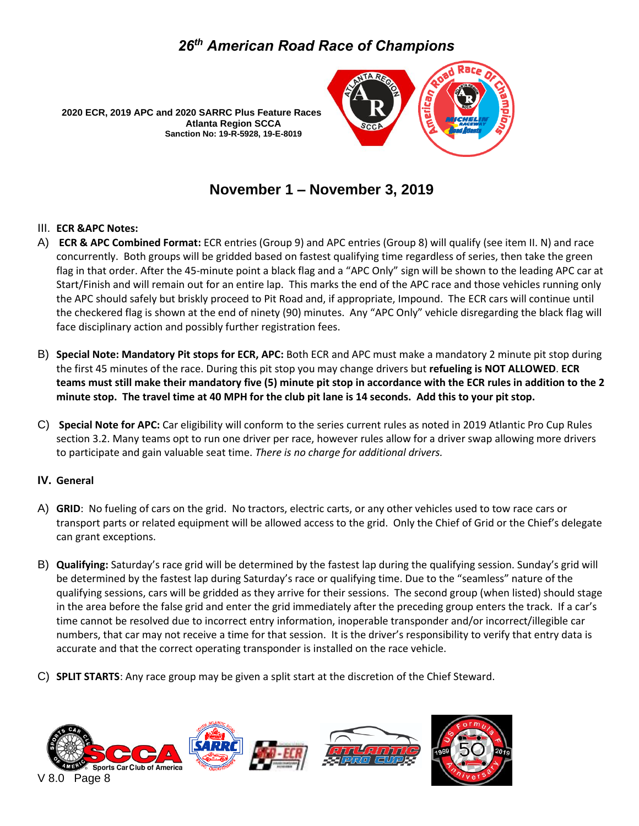



### **November 1 – November 3, 2019**

#### III. **ECR &APC Notes:**

- A) **ECR & APC Combined Format:** ECR entries (Group 9) and APC entries (Group 8) will qualify (see item II. N) and race concurrently. Both groups will be gridded based on fastest qualifying time regardless of series, then take the green flag in that order. After the 45-minute point a black flag and a "APC Only" sign will be shown to the leading APC car at Start/Finish and will remain out for an entire lap. This marks the end of the APC race and those vehicles running only the APC should safely but briskly proceed to Pit Road and, if appropriate, Impound. The ECR cars will continue until the checkered flag is shown at the end of ninety (90) minutes. Any "APC Only" vehicle disregarding the black flag will face disciplinary action and possibly further registration fees.
- B) **Special Note: Mandatory Pit stops for ECR, APC:** Both ECR and APC must make a mandatory 2 minute pit stop during the first 45 minutes of the race. During this pit stop you may change drivers but **refueling is NOT ALLOWED**. **ECR teams must still make their mandatory five (5) minute pit stop in accordance with the ECR rules in addition to the 2 minute stop. The travel time at 40 MPH for the club pit lane is 14 seconds. Add this to your pit stop.**
- C) **Special Note for APC:** Car eligibility will conform to the series current rules as noted in 2019 Atlantic Pro Cup Rules section 3.2. Many teams opt to run one driver per race, however rules allow for a driver swap allowing more drivers to participate and gain valuable seat time. *There is no charge for additional drivers.*

#### **IV. General**

- A) **GRID**: No fueling of cars on the grid. No tractors, electric carts, or any other vehicles used to tow race cars or transport parts or related equipment will be allowed access to the grid. Only the Chief of Grid or the Chief's delegate can grant exceptions.
- B) **Qualifying:** Saturday's race grid will be determined by the fastest lap during the qualifying session. Sunday's grid will be determined by the fastest lap during Saturday's race or qualifying time. Due to the "seamless" nature of the qualifying sessions, cars will be gridded as they arrive for their sessions. The second group (when listed) should stage in the area before the false grid and enter the grid immediately after the preceding group enters the track. If a car's time cannot be resolved due to incorrect entry information, inoperable transponder and/or incorrect/illegible car numbers, that car may not receive a time for that session. It is the driver's responsibility to verify that entry data is accurate and that the correct operating transponder is installed on the race vehicle.
- C) **SPLIT STARTS**: Any race group may be given a split start at the discretion of the Chief Steward.

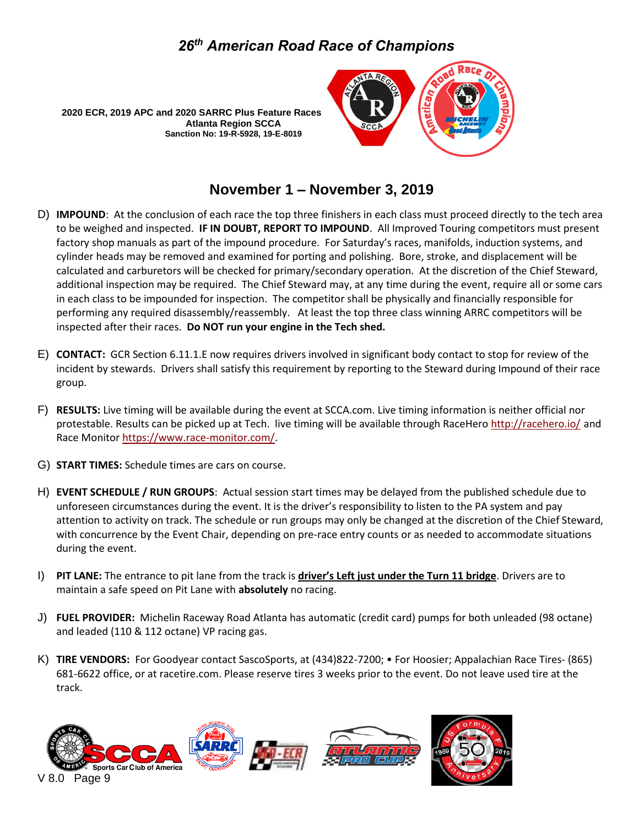



#### **November 1 – November 3, 2019**

- D) **IMPOUND**: At the conclusion of each race the top three finishers in each class must proceed directly to the tech area to be weighed and inspected. **IF IN DOUBT, REPORT TO IMPOUND**. All Improved Touring competitors must present factory shop manuals as part of the impound procedure. For Saturday's races, manifolds, induction systems, and cylinder heads may be removed and examined for porting and polishing. Bore, stroke, and displacement will be calculated and carburetors will be checked for primary/secondary operation. At the discretion of the Chief Steward, additional inspection may be required. The Chief Steward may, at any time during the event, require all or some cars in each class to be impounded for inspection. The competitor shall be physically and financially responsible for performing any required disassembly/reassembly. At least the top three class winning ARRC competitors will be inspected after their races. **Do NOT run your engine in the Tech shed.**
- E) **CONTACT:** GCR Section 6.11.1.E now requires drivers involved in significant body contact to stop for review of the incident by stewards. Drivers shall satisfy this requirement by reporting to the Steward during Impound of their race group.
- F) **RESULTS:** Live timing will be available during the event at SCCA.com. Live timing information is neither official nor protestable. Results can be picked up at Tech. live timing will be available through RaceHero<http://racehero.io/> and Race Monitor [https://www.race-monitor.com/.](https://www.race-monitor.com/)
- G) **START TIMES:** Schedule times are cars on course.
- H) **EVENT SCHEDULE / RUN GROUPS**: Actual session start times may be delayed from the published schedule due to unforeseen circumstances during the event. It is the driver's responsibility to listen to the PA system and pay attention to activity on track. The schedule or run groups may only be changed at the discretion of the Chief Steward, with concurrence by the Event Chair, depending on pre-race entry counts or as needed to accommodate situations during the event.
- I) **PIT LANE:** The entrance to pit lane from the track is **driver's Left just under the Turn 11 bridge**. Drivers are to maintain a safe speed on Pit Lane with **absolutely** no racing.
- J) **FUEL PROVIDER:** Michelin Raceway Road Atlanta has automatic (credit card) pumps for both unleaded (98 octane) and leaded (110 & 112 octane) VP racing gas.
- K) **TIRE VENDORS:** For Goodyear contact SascoSports, at (434)822-7200; For Hoosier; Appalachian Race Tires- (865) 681-6622 office, or at racetire.com. Please reserve tires 3 weeks prior to the event. Do not leave used tire at the track.

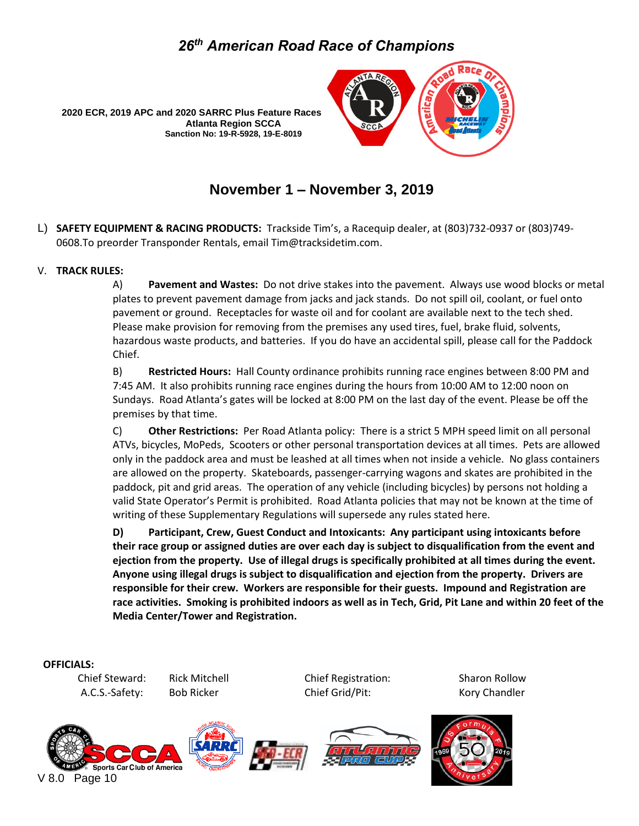

**Atlanta Region SCCA Sanction No: 19-R-5928, 19-E-8019**

### **November 1 – November 3, 2019**

L) **SAFETY EQUIPMENT & RACING PRODUCTS:** Trackside Tim's, a Racequip dealer, at (803)732-0937 or (803)749- 0608.To preorder Transponder Rentals, email Tim@tracksidetim.com.

#### V. **TRACK RULES:**

A) **Pavement and Wastes:** Do not drive stakes into the pavement. Always use wood blocks or metal plates to prevent pavement damage from jacks and jack stands. Do not spill oil, coolant, or fuel onto pavement or ground. Receptacles for waste oil and for coolant are available next to the tech shed. Please make provision for removing from the premises any used tires, fuel, brake fluid, solvents, hazardous waste products, and batteries. If you do have an accidental spill, please call for the Paddock Chief.

B) **Restricted Hours:** Hall County ordinance prohibits running race engines between 8:00 PM and 7:45 AM. It also prohibits running race engines during the hours from 10:00 AM to 12:00 noon on Sundays. Road Atlanta's gates will be locked at 8:00 PM on the last day of the event. Please be off the premises by that time.

C) **Other Restrictions:** Per Road Atlanta policy: There is a strict 5 MPH speed limit on all personal ATVs, bicycles, MoPeds, Scooters or other personal transportation devices at all times. Pets are allowed only in the paddock area and must be leashed at all times when not inside a vehicle. No glass containers are allowed on the property. Skateboards, passenger-carrying wagons and skates are prohibited in the paddock, pit and grid areas. The operation of any vehicle (including bicycles) by persons not holding a valid State Operator's Permit is prohibited. Road Atlanta policies that may not be known at the time of writing of these Supplementary Regulations will supersede any rules stated here.

**D) Participant, Crew, Guest Conduct and Intoxicants: Any participant using intoxicants before their race group or assigned duties are over each day is subject to disqualification from the event and ejection from the property. Use of illegal drugs is specifically prohibited at all times during the event. Anyone using illegal drugs is subject to disqualification and ejection from the property. Drivers are responsible for their crew. Workers are responsible for their guests. Impound and Registration are race activities. Smoking is prohibited indoors as well as in Tech, Grid, Pit Lane and within 20 feet of the Media Center/Tower and Registration.**

#### **OFFICIALS:**

Chief Steward: Rick Mitchell Chief Registration: Sharon Rollow A.C.S.-Safety: Bob Ricker Chief Grid/Pit: Kory Chandler